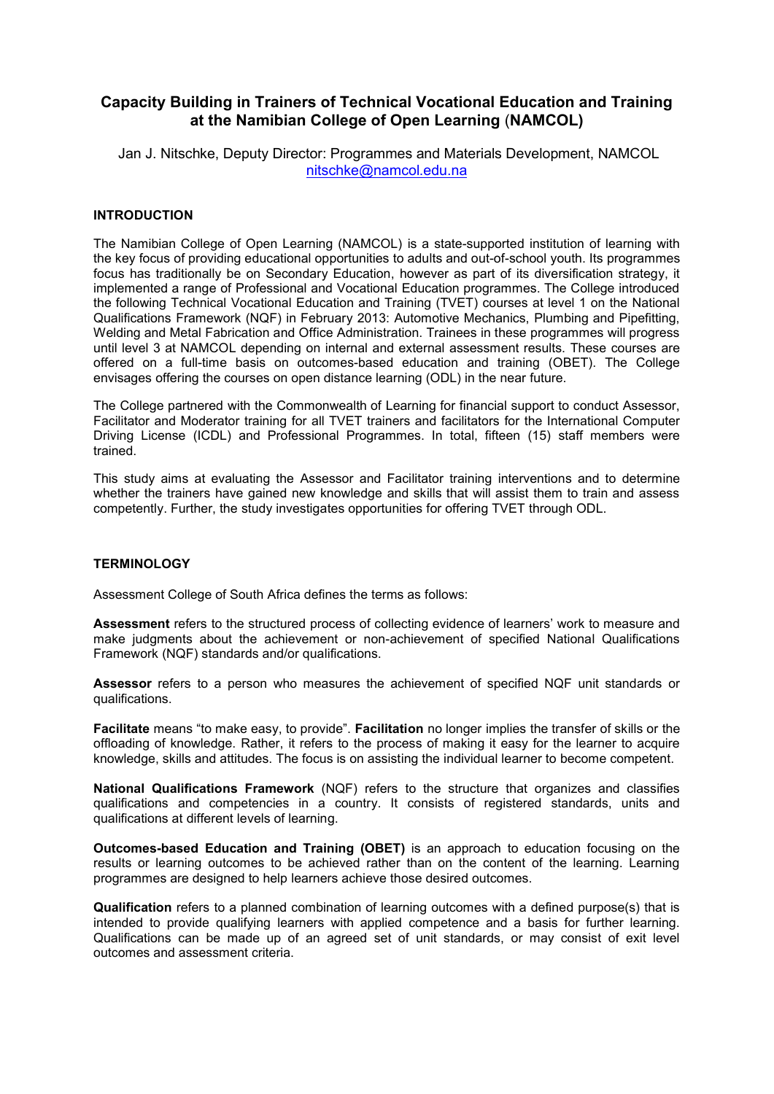# **Capacity Building in Trainers of Technical Vocational Education and Training at the Namibian College of Open Learning** (**NAMCOL)**

Jan J. Nitschke, Deputy Director: Programmes and Materials Development, NAMCOL nitschke@namcol.edu.na

### **INTRODUCTION**

The Namibian College of Open Learning (NAMCOL) is a state-supported institution of learning with the key focus of providing educational opportunities to adults and out-of-school youth. Its programmes focus has traditionally be on Secondary Education, however as part of its diversification strategy, it implemented a range of Professional and Vocational Education programmes. The College introduced the following Technical Vocational Education and Training (TVET) courses at level 1 on the National Qualifications Framework (NQF) in February 2013: Automotive Mechanics, Plumbing and Pipefitting, Welding and Metal Fabrication and Office Administration. Trainees in these programmes will progress until level 3 at NAMCOL depending on internal and external assessment results. These courses are offered on a full-time basis on outcomes-based education and training (OBET). The College envisages offering the courses on open distance learning (ODL) in the near future.

The College partnered with the Commonwealth of Learning for financial support to conduct Assessor, Facilitator and Moderator training for all TVET trainers and facilitators for the International Computer Driving License (ICDL) and Professional Programmes. In total, fifteen (15) staff members were trained.

This study aims at evaluating the Assessor and Facilitator training interventions and to determine whether the trainers have gained new knowledge and skills that will assist them to train and assess competently. Further, the study investigates opportunities for offering TVET through ODL.

#### **TERMINOLOGY**

Assessment College of South Africa defines the terms as follows:

**Assessment** refers to the structured process of collecting evidence of learners' work to measure and make judgments about the achievement or non-achievement of specified National Qualifications Framework (NQF) standards and/or qualifications.

**Assessor** refers to a person who measures the achievement of specified NQF unit standards or qualifications.

**Facilitate** means "to make easy, to provide". **Facilitation** no longer implies the transfer of skills or the offloading of knowledge. Rather, it refers to the process of making it easy for the learner to acquire knowledge, skills and attitudes. The focus is on assisting the individual learner to become competent.

**National Qualifications Framework** (NQF) refers to the structure that organizes and classifies qualifications and competencies in a country. It consists of registered standards, units and qualifications at different levels of learning.

**Outcomes-based Education and Training (OBET)** is an approach to education focusing on the results or learning outcomes to be achieved rather than on the content of the learning. Learning programmes are designed to help learners achieve those desired outcomes.

**Qualification** refers to a planned combination of learning outcomes with a defined purpose(s) that is intended to provide qualifying learners with applied competence and a basis for further learning. Qualifications can be made up of an agreed set of unit standards, or may consist of exit level outcomes and assessment criteria.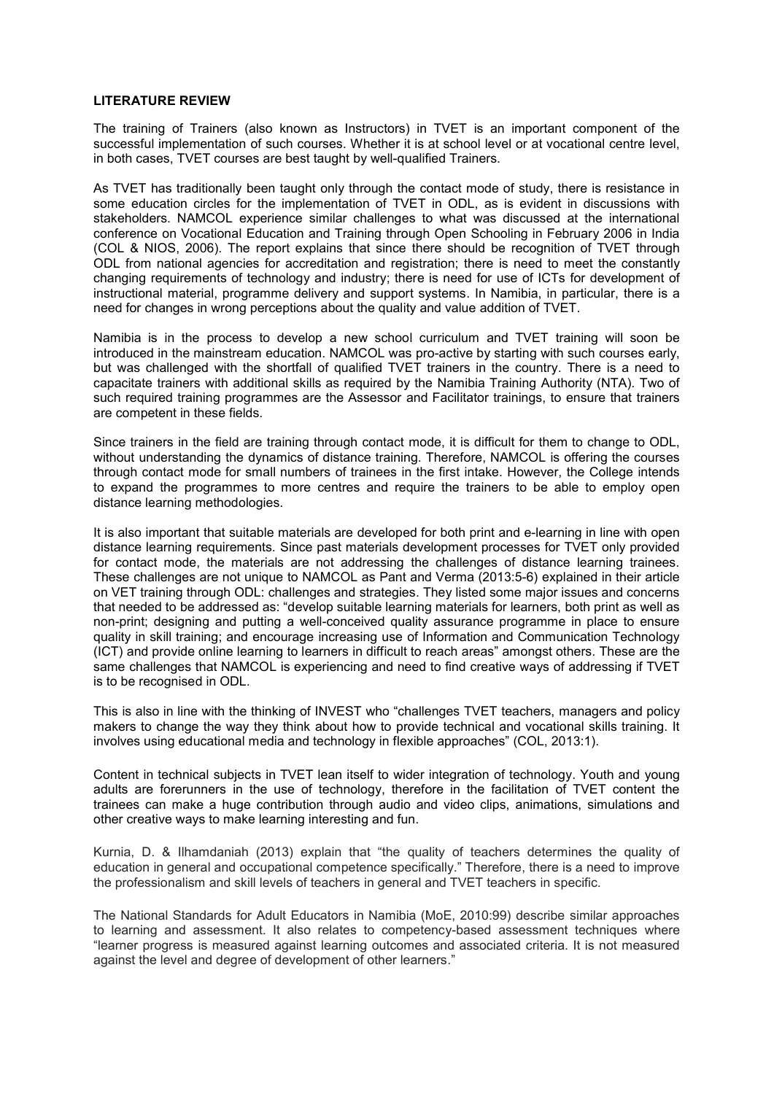### **LITERATURE REVIEW**

The training of Trainers (also known as Instructors) in TVET is an important component of the successful implementation of such courses. Whether it is at school level or at vocational centre level, in both cases, TVET courses are best taught by well-qualified Trainers.

As TVET has traditionally been taught only through the contact mode of study, there is resistance in some education circles for the implementation of TVET in ODL, as is evident in discussions with stakeholders. NAMCOL experience similar challenges to what was discussed at the international conference on Vocational Education and Training through Open Schooling in February 2006 in India (COL & NIOS, 2006). The report explains that since there should be recognition of TVET through ODL from national agencies for accreditation and registration; there is need to meet the constantly changing requirements of technology and industry; there is need for use of ICTs for development of instructional material, programme delivery and support systems. In Namibia, in particular, there is a need for changes in wrong perceptions about the quality and value addition of TVET.

Namibia is in the process to develop a new school curriculum and TVET training will soon be introduced in the mainstream education. NAMCOL was pro-active by starting with such courses early, but was challenged with the shortfall of qualified TVET trainers in the country. There is a need to capacitate trainers with additional skills as required by the Namibia Training Authority (NTA). Two of such required training programmes are the Assessor and Facilitator trainings, to ensure that trainers are competent in these fields.

Since trainers in the field are training through contact mode, it is difficult for them to change to ODL, without understanding the dynamics of distance training. Therefore, NAMCOL is offering the courses through contact mode for small numbers of trainees in the first intake. However, the College intends to expand the programmes to more centres and require the trainers to be able to employ open distance learning methodologies.

It is also important that suitable materials are developed for both print and e-learning in line with open distance learning requirements. Since past materials development processes for TVET only provided for contact mode, the materials are not addressing the challenges of distance learning trainees. These challenges are not unique to NAMCOL as Pant and Verma (2013:5-6) explained in their article on VET training through ODL: challenges and strategies. They listed some major issues and concerns that needed to be addressed as: "develop suitable learning materials for learners, both print as well as non-print; designing and putting a well-conceived quality assurance programme in place to ensure quality in skill training; and encourage increasing use of Information and Communication Technology (ICT) and provide online learning to learners in difficult to reach areas" amongst others. These are the same challenges that NAMCOL is experiencing and need to find creative ways of addressing if TVET is to be recognised in ODL.

This is also in line with the thinking of INVEST who "challenges TVET teachers, managers and policy makers to change the way they think about how to provide technical and vocational skills training. It involves using educational media and technology in flexible approaches" (COL, 2013:1).

Content in technical subjects in TVET lean itself to wider integration of technology. Youth and young adults are forerunners in the use of technology, therefore in the facilitation of TVET content the trainees can make a huge contribution through audio and video clips, animations, simulations and other creative ways to make learning interesting and fun.

Kurnia, D. & Ilhamdaniah (2013) explain that "the quality of teachers determines the quality of education in general and occupational competence specifically." Therefore, there is a need to improve the professionalism and skill levels of teachers in general and TVET teachers in specific.

The National Standards for Adult Educators in Namibia (MoE, 2010:99) describe similar approaches to learning and assessment. It also relates to competency-based assessment techniques where "learner progress is measured against learning outcomes and associated criteria. It is not measured against the level and degree of development of other learners."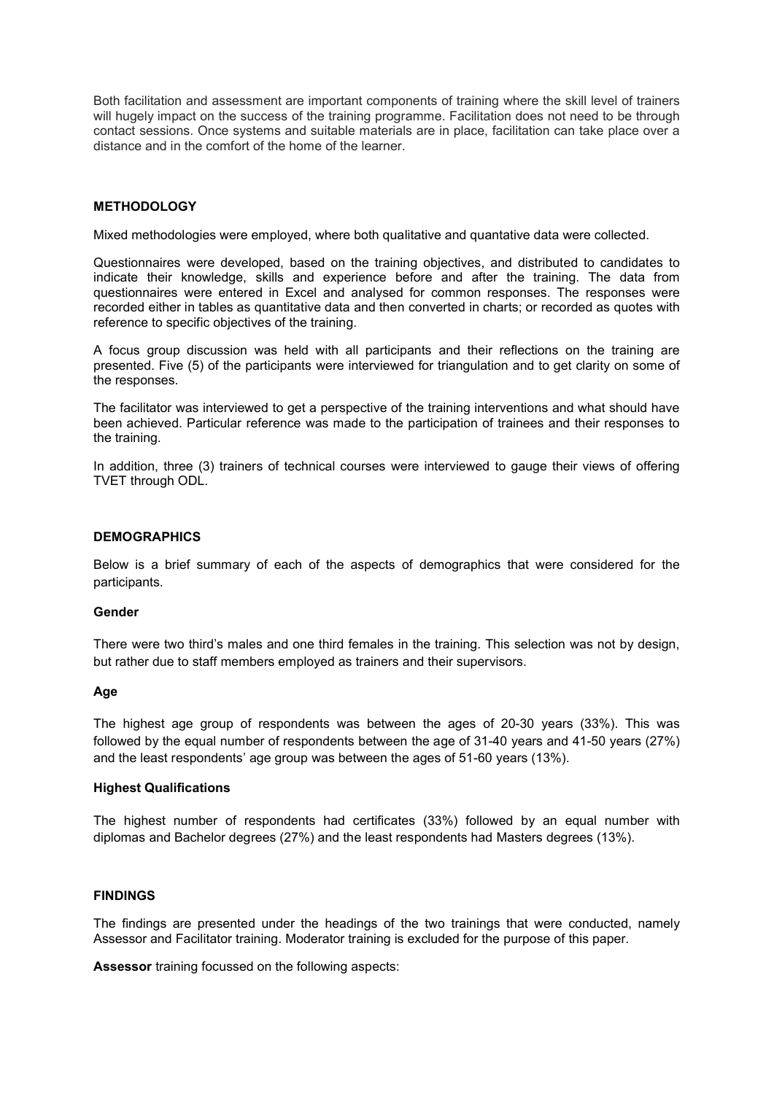Both facilitation and assessment are important components of training where the skill level of trainers will hugely impact on the success of the training programme. Facilitation does not need to be through contact sessions. Once systems and suitable materials are in place, facilitation can take place over a distance and in the comfort of the home of the learner.

### **METHODOLOGY**

Mixed methodologies were employed, where both qualitative and quantative data were collected.

Questionnaires were developed, based on the training objectives, and distributed to candidates to indicate their knowledge, skills and experience before and after the training. The data from questionnaires were entered in Excel and analysed for common responses. The responses were recorded either in tables as quantitative data and then converted in charts; or recorded as quotes with reference to specific objectives of the training.

A focus group discussion was held with all participants and their reflections on the training are presented. Five (5) of the participants were interviewed for triangulation and to get clarity on some of the responses.

The facilitator was interviewed to get a perspective of the training interventions and what should have been achieved. Particular reference was made to the participation of trainees and their responses to the training.

In addition, three (3) trainers of technical courses were interviewed to gauge their views of offering TVET through ODL.

#### **DEMOGRAPHICS**

Below is a brief summary of each of the aspects of demographics that were considered for the participants.

#### **Gender**

There were two third's males and one third females in the training. This selection was not by design, but rather due to staff members employed as trainers and their supervisors.

#### **Age**

The highest age group of respondents was between the ages of 20-30 years (33%). This was followed by the equal number of respondents between the age of 31-40 years and 41-50 years (27%) and the least respondents' age group was between the ages of 51-60 years (13%).

### **Highest Qualifications**

The highest number of respondents had certificates (33%) followed by an equal number with diplomas and Bachelor degrees (27%) and the least respondents had Masters degrees (13%).

#### **FINDINGS**

The findings are presented under the headings of the two trainings that were conducted, namely Assessor and Facilitator training. Moderator training is excluded for the purpose of this paper.

**Assessor** training focussed on the following aspects: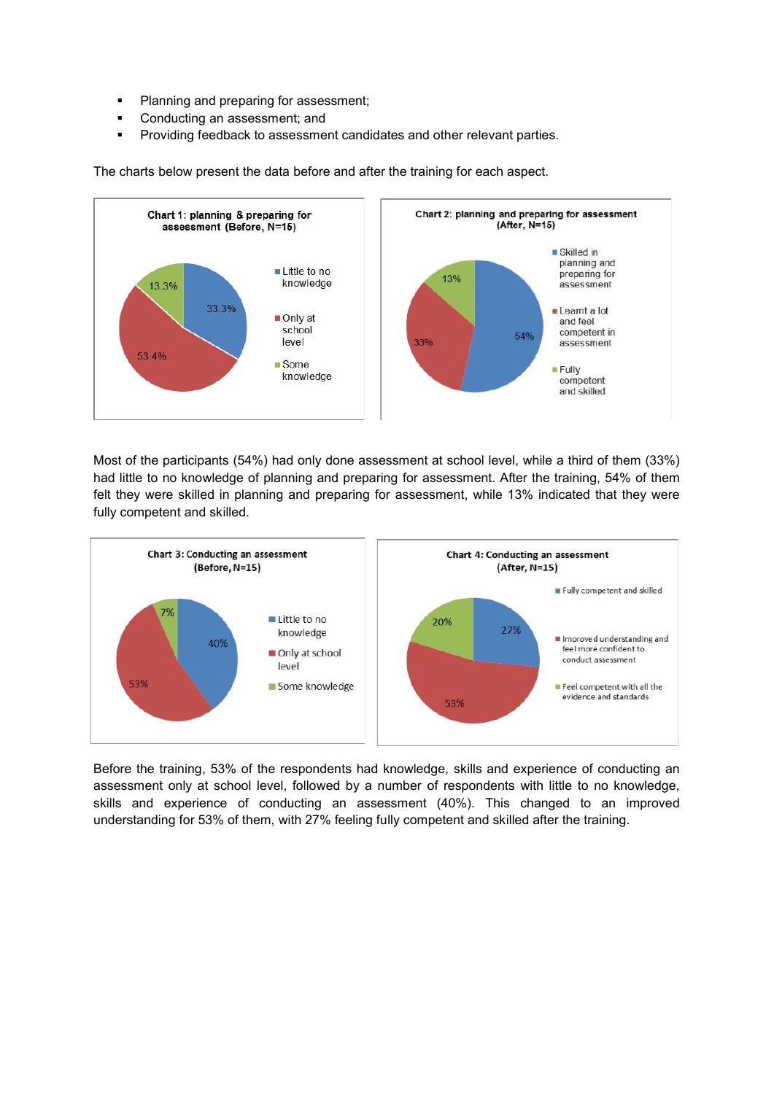- **•** Planning and preparing for assessment;
- **•** Conducting an assessment; and
- **Providing feedback to assessment candidates and other relevant parties.**



The charts below present the data before and after the training for each aspect.

Most of the participants (54%) had only done assessment at school level, while a third of them (33%) had little to no knowledge of planning and preparing for assessment. After the training, 54% of them felt they were skilled in planning and preparing for assessment, while 13% indicated that they were fully competent and skilled.



Before the training, 53% of the respondents had knowledge, skills and experience of conducting an assessment only at school level, followed by a number of respondents with little to no knowledge, skills and experience of conducting an assessment (40%). This changed to an improved understanding for 53% of them, with 27% feeling fully competent and skilled after the training.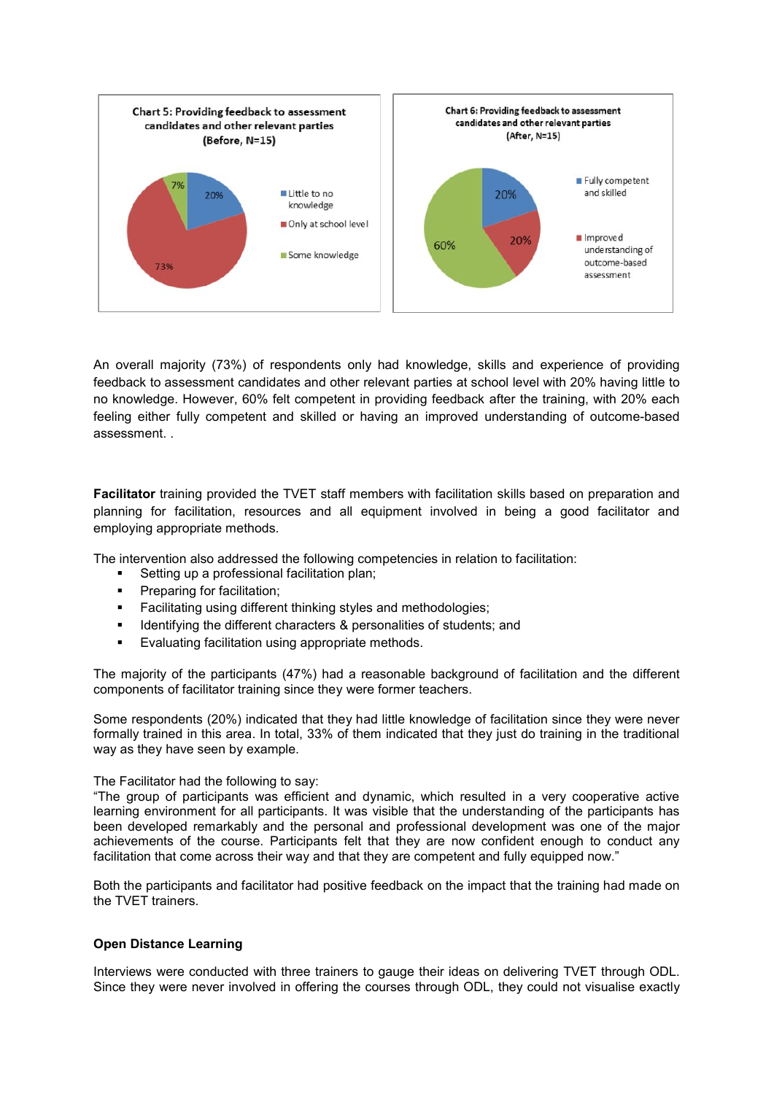

An overall majority (73%) of respondents only had knowledge, skills and experience of providing feedback to assessment candidates and other relevant parties at school level with 20% having little to no knowledge. However, 60% felt competent in providing feedback after the training, with 20% each feeling either fully competent and skilled or having an improved understanding of outcome-based assessment. .

**Facilitator** training provided the TVET staff members with facilitation skills based on preparation and planning for facilitation, resources and all equipment involved in being a good facilitator and employing appropriate methods.

The intervention also addressed the following competencies in relation to facilitation:

- ß Setting up a professional facilitation plan;
- **•** Preparing for facilitation;
- **Facilitating using different thinking styles and methodologies;**
- **EXECT** Identifying the different characters & personalities of students; and
- ß Evaluating facilitation using appropriate methods.

The majority of the participants (47%) had a reasonable background of facilitation and the different components of facilitator training since they were former teachers.

Some respondents (20%) indicated that they had little knowledge of facilitation since they were never formally trained in this area. In total, 33% of them indicated that they just do training in the traditional way as they have seen by example.

The Facilitator had the following to say:

"The group of participants was efficient and dynamic, which resulted in a very cooperative active learning environment for all participants. It was visible that the understanding of the participants has been developed remarkably and the personal and professional development was one of the major achievements of the course. Participants felt that they are now confident enough to conduct any facilitation that come across their way and that they are competent and fully equipped now."

Both the participants and facilitator had positive feedback on the impact that the training had made on the TVET trainers.

# **Open Distance Learning**

Interviews were conducted with three trainers to gauge their ideas on delivering TVET through ODL. Since they were never involved in offering the courses through ODL, they could not visualise exactly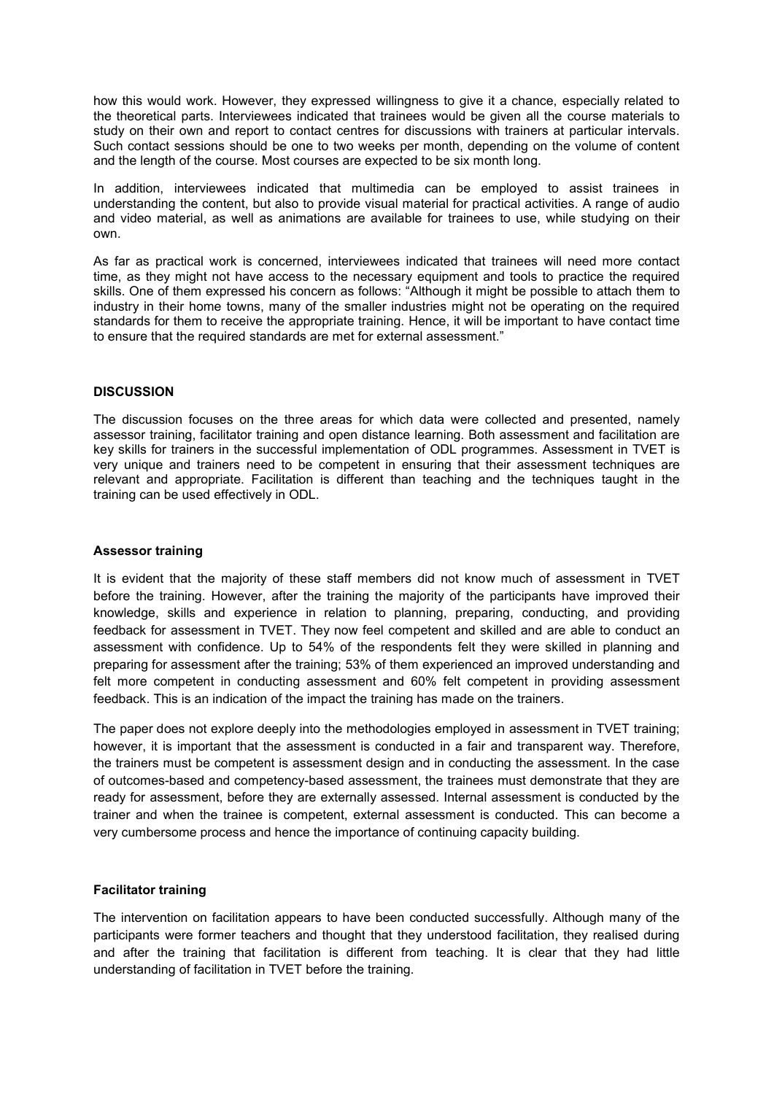how this would work. However, they expressed willingness to give it a chance, especially related to the theoretical parts. Interviewees indicated that trainees would be given all the course materials to study on their own and report to contact centres for discussions with trainers at particular intervals. Such contact sessions should be one to two weeks per month, depending on the volume of content and the length of the course. Most courses are expected to be six month long.

In addition, interviewees indicated that multimedia can be employed to assist trainees in understanding the content, but also to provide visual material for practical activities. A range of audio and video material, as well as animations are available for trainees to use, while studying on their own.

As far as practical work is concerned, interviewees indicated that trainees will need more contact time, as they might not have access to the necessary equipment and tools to practice the required skills. One of them expressed his concern as follows: "Although it might be possible to attach them to industry in their home towns, many of the smaller industries might not be operating on the required standards for them to receive the appropriate training. Hence, it will be important to have contact time to ensure that the required standards are met for external assessment."

### **DISCUSSION**

The discussion focuses on the three areas for which data were collected and presented, namely assessor training, facilitator training and open distance learning. Both assessment and facilitation are key skills for trainers in the successful implementation of ODL programmes. Assessment in TVET is very unique and trainers need to be competent in ensuring that their assessment techniques are relevant and appropriate. Facilitation is different than teaching and the techniques taught in the training can be used effectively in ODL.

#### **Assessor training**

It is evident that the majority of these staff members did not know much of assessment in TVET before the training. However, after the training the majority of the participants have improved their knowledge, skills and experience in relation to planning, preparing, conducting, and providing feedback for assessment in TVET. They now feel competent and skilled and are able to conduct an assessment with confidence. Up to 54% of the respondents felt they were skilled in planning and preparing for assessment after the training; 53% of them experienced an improved understanding and felt more competent in conducting assessment and 60% felt competent in providing assessment feedback. This is an indication of the impact the training has made on the trainers.

The paper does not explore deeply into the methodologies employed in assessment in TVET training; however, it is important that the assessment is conducted in a fair and transparent way. Therefore, the trainers must be competent is assessment design and in conducting the assessment. In the case of outcomes-based and competency-based assessment, the trainees must demonstrate that they are ready for assessment, before they are externally assessed. Internal assessment is conducted by the trainer and when the trainee is competent, external assessment is conducted. This can become a very cumbersome process and hence the importance of continuing capacity building.

# **Facilitator training**

The intervention on facilitation appears to have been conducted successfully. Although many of the participants were former teachers and thought that they understood facilitation, they realised during and after the training that facilitation is different from teaching. It is clear that they had little understanding of facilitation in TVET before the training.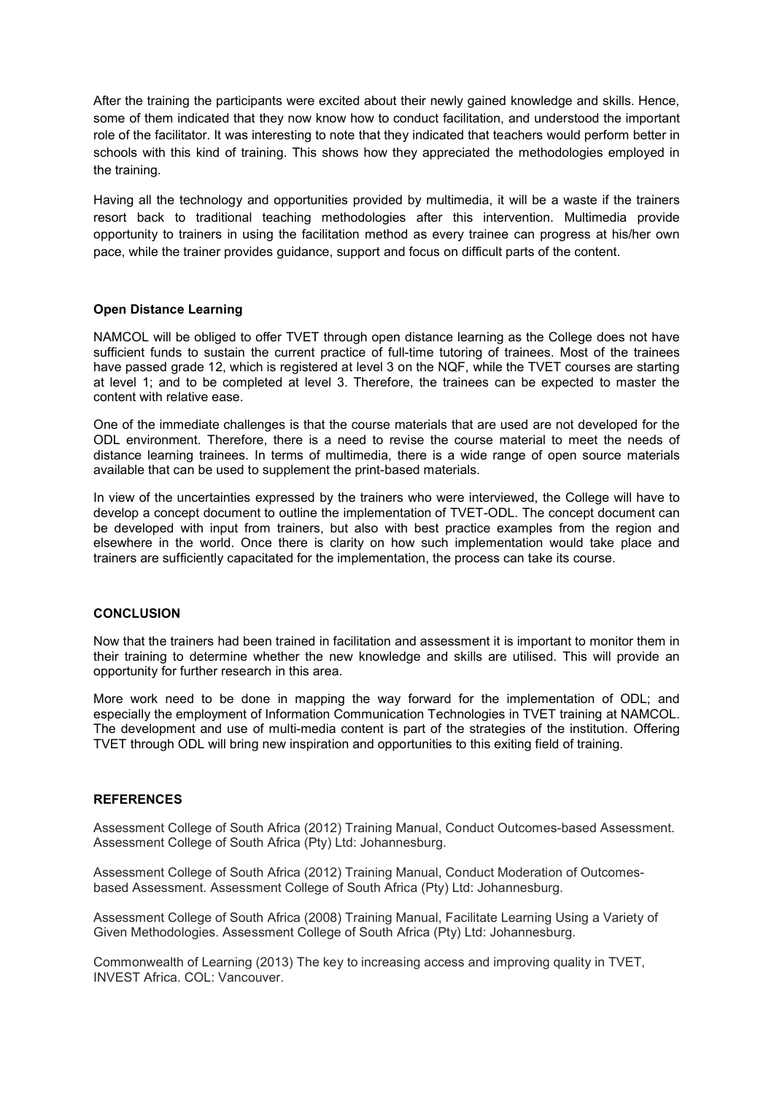After the training the participants were excited about their newly gained knowledge and skills. Hence, some of them indicated that they now know how to conduct facilitation, and understood the important role of the facilitator. It was interesting to note that they indicated that teachers would perform better in schools with this kind of training. This shows how they appreciated the methodologies employed in the training.

Having all the technology and opportunities provided by multimedia, it will be a waste if the trainers resort back to traditional teaching methodologies after this intervention. Multimedia provide opportunity to trainers in using the facilitation method as every trainee can progress at his/her own pace, while the trainer provides guidance, support and focus on difficult parts of the content.

### **Open Distance Learning**

NAMCOL will be obliged to offer TVET through open distance learning as the College does not have sufficient funds to sustain the current practice of full-time tutoring of trainees. Most of the trainees have passed grade 12, which is registered at level 3 on the NQF, while the TVET courses are starting at level 1; and to be completed at level 3. Therefore, the trainees can be expected to master the content with relative ease.

One of the immediate challenges is that the course materials that are used are not developed for the ODL environment. Therefore, there is a need to revise the course material to meet the needs of distance learning trainees. In terms of multimedia, there is a wide range of open source materials available that can be used to supplement the print-based materials.

In view of the uncertainties expressed by the trainers who were interviewed, the College will have to develop a concept document to outline the implementation of TVET-ODL. The concept document can be developed with input from trainers, but also with best practice examples from the region and elsewhere in the world. Once there is clarity on how such implementation would take place and trainers are sufficiently capacitated for the implementation, the process can take its course.

#### **CONCLUSION**

Now that the trainers had been trained in facilitation and assessment it is important to monitor them in their training to determine whether the new knowledge and skills are utilised. This will provide an opportunity for further research in this area.

More work need to be done in mapping the way forward for the implementation of ODL; and especially the employment of Information Communication Technologies in TVET training at NAMCOL. The development and use of multi-media content is part of the strategies of the institution. Offering TVET through ODL will bring new inspiration and opportunities to this exiting field of training.

#### **REFERENCES**

Assessment College of South Africa (2012) Training Manual, Conduct Outcomes-based Assessment. Assessment College of South Africa (Pty) Ltd: Johannesburg.

Assessment College of South Africa (2012) Training Manual, Conduct Moderation of Outcomesbased Assessment. Assessment College of South Africa (Pty) Ltd: Johannesburg.

Assessment College of South Africa (2008) Training Manual, Facilitate Learning Using a Variety of Given Methodologies. Assessment College of South Africa (Pty) Ltd: Johannesburg.

Commonwealth of Learning (2013) The key to increasing access and improving quality in TVET, INVEST Africa. COL: Vancouver.